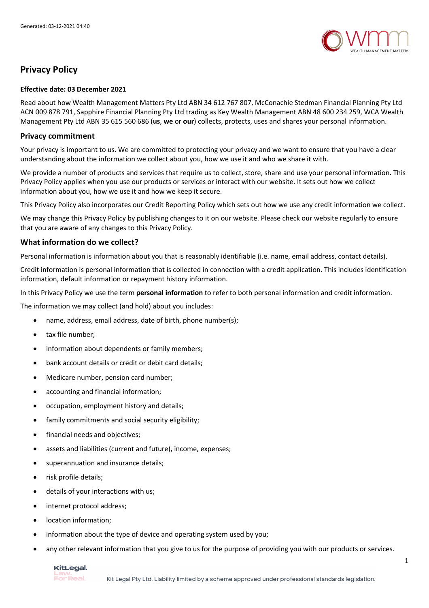

# **Privacy Policy**

#### **Effective date: 03 December 2021**

Read about how Wealth Management Matters Pty Ltd ABN 34 612 767 807, McConachie Stedman Financial Planning Pty Ltd ACN 009 878 791, Sapphire Financial Planning Pty Ltd trading as Key Wealth Management ABN 48 600 234 259, WCA Wealth Management Pty Ltd ABN 35 615 560 686 (**us**, **we** or **our**) collects, protects, uses and shares your personal information.

#### **Privacy commitment**

Your privacy is important to us. We are committed to protecting your privacy and we want to ensure that you have a clear understanding about the information we collect about you, how we use it and who we share it with.

We provide a number of products and services that require us to collect, store, share and use your personal information. This Privacy Policy applies when you use our products or services or interact with our website. It sets out how we collect information about you, how we use it and how we keep it secure.

This Privacy Policy also incorporates our Credit Reporting Policy which sets out how we use any credit information we collect.

We may change this Privacy Policy by publishing changes to it on our website. Please check our website regularly to ensure that you are aware of any changes to this Privacy Policy.

### **What information do we collect?**

Personal information is information about you that is reasonably identifiable (i.e. name, email address, contact details).

Credit information is personal information that is collected in connection with a credit application. This includes identification information, default information or repayment history information.

In this Privacy Policy we use the term **personal information** to refer to both personal information and credit information.

The information we may collect (and hold) about you includes:

- name, address, email address, date of birth, phone number(s);
- tax file number:
- information about dependents or family members;
- bank account details or credit or debit card details;
- Medicare number, pension card number;
- accounting and financial information;
- occupation, employment history and details;
- family commitments and social security eligibility;
- financial needs and objectives;
- assets and liabilities (current and future), income, expenses;
- superannuation and insurance details;
- risk profile details;
- details of your interactions with us;
- internet protocol address;
- location information;
- information about the type of device and operating system used by you;
- any other relevant information that you give to us for the purpose of providing you with our products or services.

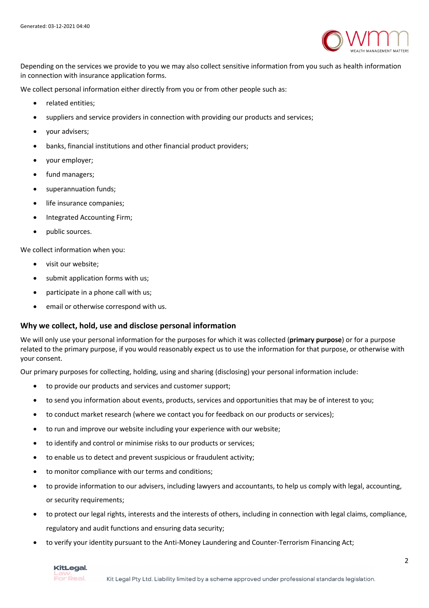

Depending on the services we provide to you we may also collect sensitive information from you such as health information in connection with insurance application forms.

We collect personal information either directly from you or from other people such as:

- related entities;
- suppliers and service providers in connection with providing our products and services;
- your advisers;
- banks, financial institutions and other financial product providers;
- your employer;
- fund managers;
- superannuation funds:
- life insurance companies;
- Integrated Accounting Firm;
- public sources.

We collect information when you:

- visit our website;
- submit application forms with us;
- participate in a phone call with us;
- email or otherwise correspond with us.

#### **Why we collect, hold, use and disclose personal information**

We will only use your personal information for the purposes for which it was collected (**primary purpose**) or for a purpose related to the primary purpose, if you would reasonably expect us to use the information for that purpose, or otherwise with your consent.

Our primary purposes for collecting, holding, using and sharing (disclosing) your personal information include:

- to provide our products and services and customer support;
- to send you information about events, products, services and opportunities that may be of interest to you;
- to conduct market research (where we contact you for feedback on our products or services);
- to run and improve our website including your experience with our website;
- to identify and control or minimise risks to our products or services;
- to enable us to detect and prevent suspicious or fraudulent activity;
- to monitor compliance with our terms and conditions;
- to provide information to our advisers, including lawyers and accountants, to help us comply with legal, accounting, or security requirements;
- to protect our legal rights, interests and the interests of others, including in connection with legal claims, compliance, regulatory and audit functions and ensuring data security;
- to verify your identity pursuant to the Anti-Money Laundering and Counter-Terrorism Financing Act;

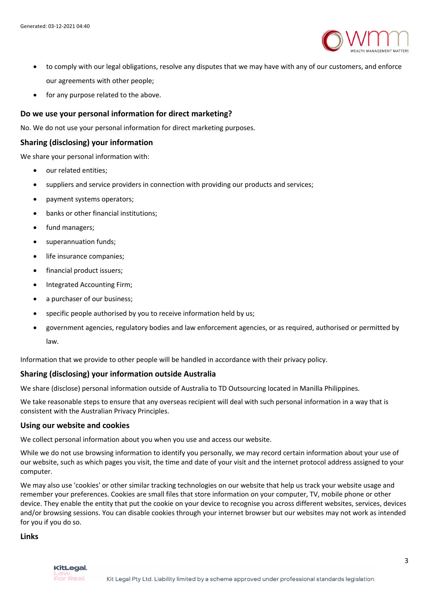

- to comply with our legal obligations, resolve any disputes that we may have with any of our customers, and enforce our agreements with other people;
- for any purpose related to the above.

## **Do we use your personal information for direct marketing?**

No. We do not use your personal information for direct marketing purposes.

## **Sharing (disclosing) your information**

We share your personal information with:

- our related entities:
- suppliers and service providers in connection with providing our products and services;
- payment systems operators;
- banks or other financial institutions;
- fund managers;
- superannuation funds:
- life insurance companies;
- financial product issuers;
- Integrated Accounting Firm;
- a purchaser of our business;
- specific people authorised by you to receive information held by us;
- government agencies, regulatory bodies and law enforcement agencies, or as required, authorised or permitted by law.

Information that we provide to other people will be handled in accordance with their privacy policy.

## **Sharing (disclosing) your information outside Australia**

We share (disclose) personal information outside of Australia to TD Outsourcing located in Manilla Philippines.

We take reasonable steps to ensure that any overseas recipient will deal with such personal information in a way that is consistent with the Australian Privacy Principles.

#### **Using our website and cookies**

We collect personal information about you when you use and access our website.

While we do not use browsing information to identify you personally, we may record certain information about your use of our website, such as which pages you visit, the time and date of your visit and the internet protocol address assigned to your computer.

We may also use 'cookies' or other similar tracking technologies on our website that help us track your website usage and remember your preferences. Cookies are small files that store information on your computer, TV, mobile phone or other device. They enable the entity that put the cookie on your device to recognise you across different websites, services, devices and/or browsing sessions. You can disable cookies through your internet browser but our websites may not work as intended for you if you do so.

**Links**

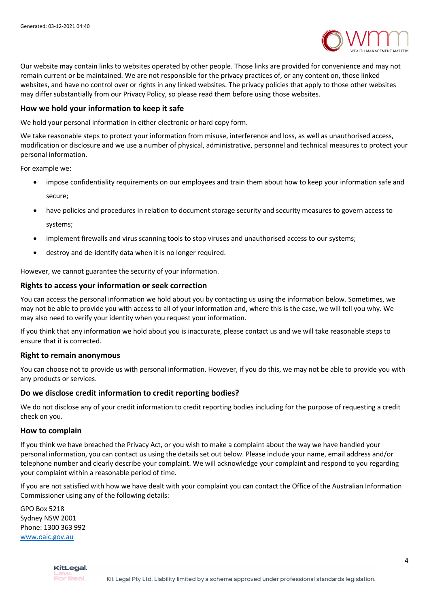

Our website may contain links to websites operated by other people. Those links are provided for convenience and may not remain current or be maintained. We are not responsible for the privacy practices of, or any content on, those linked websites, and have no control over or rights in any linked websites. The privacy policies that apply to those other websites may differ substantially from our Privacy Policy, so please read them before using those websites.

#### **How we hold your information to keep it safe**

We hold your personal information in either electronic or hard copy form.

We take reasonable steps to protect your information from misuse, interference and loss, as well as unauthorised access, modification or disclosure and we use a number of physical, administrative, personnel and technical measures to protect your personal information.

For example we:

- impose confidentiality requirements on our employees and train them about how to keep your information safe and secure;
- have policies and procedures in relation to document storage security and security measures to govern access to systems;
- implement firewalls and virus scanning tools to stop viruses and unauthorised access to our systems;
- destroy and de-identify data when it is no longer required.

However, we cannot guarantee the security of your information.

### **Rights to access your information or seek correction**

You can access the personal information we hold about you by contacting us using the information below. Sometimes, we may not be able to provide you with access to all of your information and, where this is the case, we will tell you why. We may also need to verify your identity when you request your information.

If you think that any information we hold about you is inaccurate, please contact us and we will take reasonable steps to ensure that it is corrected.

#### **Right to remain anonymous**

You can choose not to provide us with personal information. However, if you do this, we may not be able to provide you with any products or services.

#### **Do we disclose credit information to credit reporting bodies?**

We do not disclose any of your credit information to credit reporting bodies including for the purpose of requesting a credit check on you.

#### **How to complain**

If you think we have breached the Privacy Act, or you wish to make a complaint about the way we have handled your personal information, you can contact us using the details set out below. Please include your name, email address and/or telephone number and clearly describe your complaint. We will acknowledge your complaint and respond to you regarding your complaint within a reasonable period of time.

If you are not satisfied with how we have dealt with your complaint you can contact the Office of the Australian Information Commissioner using any of the following details:

GPO Box 5218 Sydney NSW 2001 Phone: 1300 363 992 www.oaic.gov.au